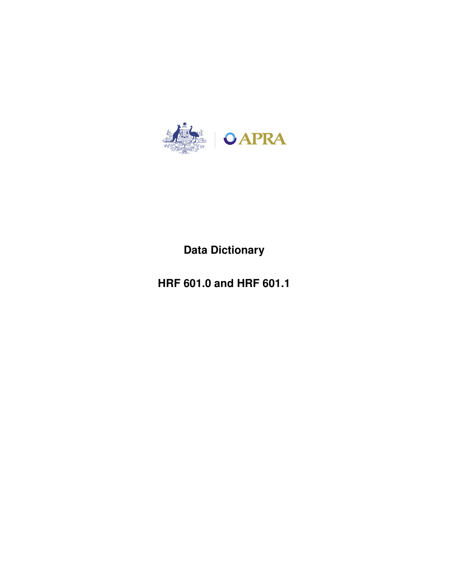

# **Data Dictionary**

**HRF 601.0 and HRF 601.1**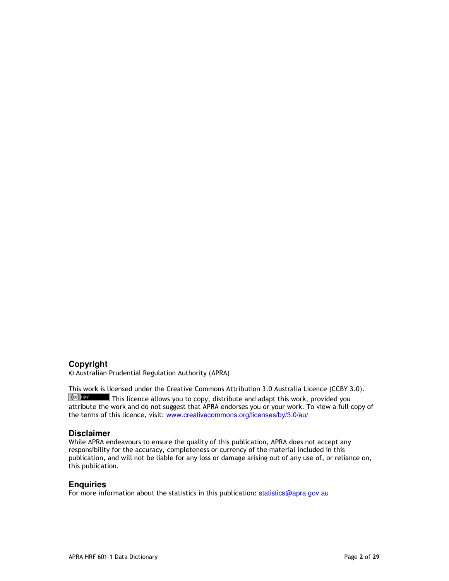#### **Copyright**

© Australian Prudential Regulation Authority (APRA)

This work is licensed under the Creative Commons Attribution 3.0 Australia Licence (CCBY 3.0).  $\left[\frac{c}{c}\right]$   $\frac{F}{c}$  This licence allows you to copy, distribute and adapt this work, provided you attribute the work and do not suggest that APRA endorses you or your work. To view a full copy of the terms of this licence, visit: www.creativecommons.org/licenses/by/3.0/au/

#### **Disclaimer**

While APRA endeavours to ensure the quality of this publication, APRA does not accept any responsibility for the accuracy, completeness or currency of the material included in this publication, and will not be liable for any loss or damage arising out of any use of, or reliance on, this publication.

#### **Enquiries**

For more information about the statistics in this publication: statistics@apra.gov.au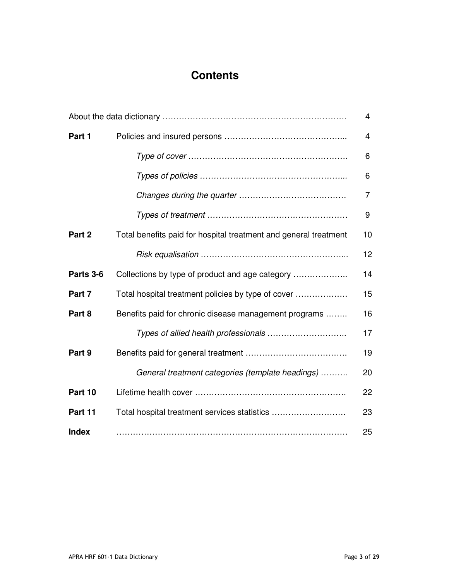## **Contents**

| 4            |                                                                  |    |
|--------------|------------------------------------------------------------------|----|
| Part 1       |                                                                  | 4  |
|              |                                                                  | 6  |
|              |                                                                  | 6  |
|              |                                                                  | 7  |
|              |                                                                  | 9  |
| Part 2       | Total benefits paid for hospital treatment and general treatment | 10 |
|              |                                                                  | 12 |
| Parts 3-6    | Collections by type of product and age category                  | 14 |
| Part 7       | Total hospital treatment policies by type of cover               | 15 |
| Part 8       | Benefits paid for chronic disease management programs            | 16 |
|              |                                                                  | 17 |
| Part 9       |                                                                  | 19 |
|              | General treatment categories (template headings)                 | 20 |
| Part 10      |                                                                  | 22 |
| Part 11      | Total hospital treatment services statistics                     | 23 |
| <b>Index</b> |                                                                  | 25 |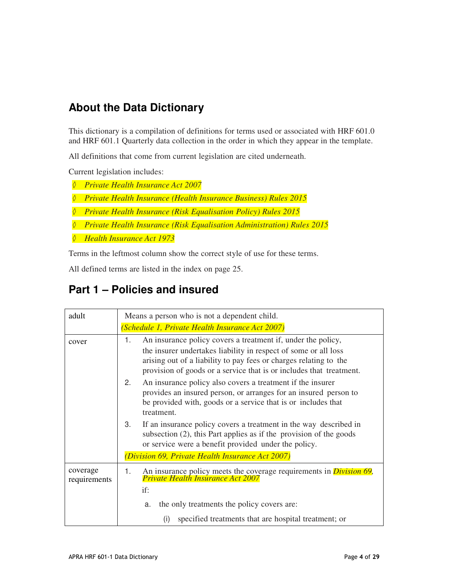### **About the Data Dictionary**

This dictionary is a compilation of definitions for terms used or associated with HRF 601.0 and HRF 601.1 Quarterly data collection in the order in which they appear in the template.

All definitions that come from current legislation are cited underneath.

Current legislation includes:

- ◇ *Private Health Insurance Act 2007*
- ◇ *Private Health Insurance (Health Insurance Business) Rules 2015*
- ◇ *Private Health Insurance (Risk Equalisation Policy) Rules 2015*
- ◇ *Private Health Insurance (Risk Equalisation Administration) Rules 2015*
- ◇ *Health Insurance Act 1973*

Terms in the leftmost column show the correct style of use for these terms.

All defined terms are listed in the index on page 25.

### **Part 1 – Policies and insured**

| adult                    | Means a person who is not a dependent child.                                                                                                                                                                                                                                      |
|--------------------------|-----------------------------------------------------------------------------------------------------------------------------------------------------------------------------------------------------------------------------------------------------------------------------------|
|                          | (Schedule 1, Private Health Insurance Act 2007)                                                                                                                                                                                                                                   |
| cover                    | An insurance policy covers a treatment if, under the policy,<br>1.<br>the insurer undertakes liability in respect of some or all loss<br>arising out of a liability to pay fees or charges relating to the<br>provision of goods or a service that is or includes that treatment. |
|                          | An insurance policy also covers a treatment if the insurer<br>2.<br>provides an insured person, or arranges for an insured person to<br>be provided with, goods or a service that is or includes that<br>treatment.                                                               |
|                          | 3.<br>If an insurance policy covers a treatment in the way described in<br>subsection $(2)$ , this Part applies as if the provision of the goods<br>or service were a benefit provided under the policy.                                                                          |
|                          | (Division 69, Private Health Insurance Act 2007)                                                                                                                                                                                                                                  |
| coverage<br>requirements | An insurance policy meets the coverage requirements in <i>Division 69</i> , <i>Private Health Insurance Act 2007</i><br>1.<br>if:                                                                                                                                                 |
|                          | the only treatments the policy covers are:<br>a.                                                                                                                                                                                                                                  |
|                          | specified treatments that are hospital treatment; or<br>(i)                                                                                                                                                                                                                       |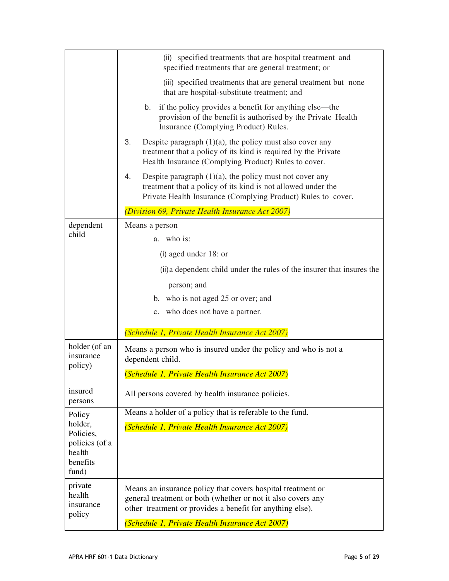|                                                  | (ii) specified treatments that are hospital treatment and<br>specified treatments that are general treatment; or                                                                                 |
|--------------------------------------------------|--------------------------------------------------------------------------------------------------------------------------------------------------------------------------------------------------|
|                                                  | (iii) specified treatments that are general treatment but none<br>that are hospital-substitute treatment; and                                                                                    |
|                                                  | if the policy provides a benefit for anything else—the<br>b.<br>provision of the benefit is authorised by the Private Health<br>Insurance (Complying Product) Rules.                             |
|                                                  | 3.<br>Despite paragraph $(1)(a)$ , the policy must also cover any<br>treatment that a policy of its kind is required by the Private<br>Health Insurance (Complying Product) Rules to cover.      |
|                                                  | 4.<br>Despite paragraph $(1)(a)$ , the policy must not cover any<br>treatment that a policy of its kind is not allowed under the<br>Private Health Insurance (Complying Product) Rules to cover. |
|                                                  | (Division 69, Private Health Insurance Act 2007)                                                                                                                                                 |
| dependent                                        | Means a person                                                                                                                                                                                   |
| child                                            | a. who is:                                                                                                                                                                                       |
|                                                  | (i) aged under $18$ : or                                                                                                                                                                         |
|                                                  | (ii) a dependent child under the rules of the insurer that insures the                                                                                                                           |
|                                                  | person; and                                                                                                                                                                                      |
|                                                  | b. who is not aged 25 or over; and                                                                                                                                                               |
|                                                  | c. who does not have a partner.                                                                                                                                                                  |
|                                                  | (Schedule 1, Private Health Insurance Act 2007)                                                                                                                                                  |
| holder (of an<br>insurance<br>policy)            | Means a person who is insured under the policy and who is not a<br>dependent child.                                                                                                              |
|                                                  | (Schedule 1, Private Health Insurance Act 2007)                                                                                                                                                  |
| insured<br>persons                               | All persons covered by health insurance policies.                                                                                                                                                |
| Policy<br>holder,<br>Policies,<br>policies (of a | Means a holder of a policy that is referable to the fund.                                                                                                                                        |
|                                                  | (Schedule 1, Private Health Insurance Act 2007)                                                                                                                                                  |
|                                                  |                                                                                                                                                                                                  |
| health<br>benefits                               |                                                                                                                                                                                                  |
| fund)                                            |                                                                                                                                                                                                  |
| private<br>health<br>insurance<br>policy         | Means an insurance policy that covers hospital treatment or                                                                                                                                      |
|                                                  | general treatment or both (whether or not it also covers any<br>other treatment or provides a benefit for anything else).                                                                        |
|                                                  | (Schedule 1, Private Health Insurance Act 2007)                                                                                                                                                  |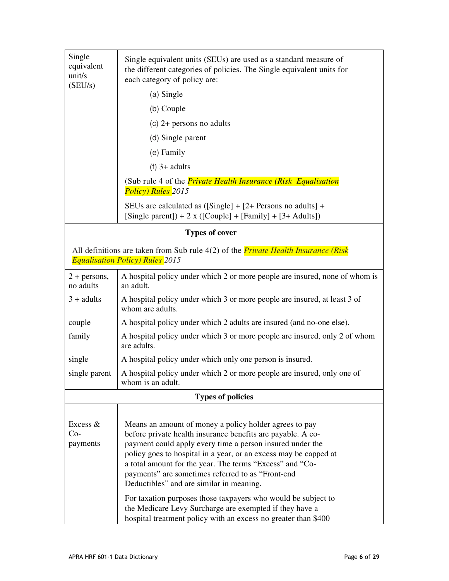| Single<br>equivalent<br>units<br>SEU/s) | Single equivalent units (SEUs) are used as a standard measure of<br>the different categories of policies. The Single equivalent units for<br>each category of policy are: |
|-----------------------------------------|---------------------------------------------------------------------------------------------------------------------------------------------------------------------------|
|                                         | $(a)$ Single                                                                                                                                                              |
|                                         | (b) Couple                                                                                                                                                                |
|                                         | (c) $2+$ persons no adults                                                                                                                                                |
|                                         | (d) Single parent                                                                                                                                                         |
|                                         | (e) Family                                                                                                                                                                |
|                                         | $(f)$ 3+ adults                                                                                                                                                           |
|                                         | (Sub rule 4 of the <i>Private Health Insurance (Risk Equalisation</i> )<br>Policy) Rules 2015                                                                             |
|                                         | SEUs are calculated as $([Single] + [2 + Persons$ no adults $] +$<br>[Single parent]) + 2 x ([Couple] + [Family] + [3+ Adults])                                           |
|                                         | <b>Types of cover</b>                                                                                                                                                     |

All definitions are taken from Sub rule 4(2) of the *Private Health Insurance (Risk Equalisation Policy) Rules 2015* 

| $2 + persons$ ,<br>no adults    | A hospital policy under which 2 or more people are insured, none of whom is<br>an adult.                                                                                                                                                                                                                                                                                                                                                                                                                                                                                                                          |
|---------------------------------|-------------------------------------------------------------------------------------------------------------------------------------------------------------------------------------------------------------------------------------------------------------------------------------------------------------------------------------------------------------------------------------------------------------------------------------------------------------------------------------------------------------------------------------------------------------------------------------------------------------------|
| $3 + adults$                    | A hospital policy under which 3 or more people are insured, at least 3 of<br>whom are adults.                                                                                                                                                                                                                                                                                                                                                                                                                                                                                                                     |
| couple                          | A hospital policy under which 2 adults are insured (and no-one else).                                                                                                                                                                                                                                                                                                                                                                                                                                                                                                                                             |
| family                          | A hospital policy under which 3 or more people are insured, only 2 of whom<br>are adults.                                                                                                                                                                                                                                                                                                                                                                                                                                                                                                                         |
| single                          | A hospital policy under which only one person is insured.                                                                                                                                                                                                                                                                                                                                                                                                                                                                                                                                                         |
| single parent                   | A hospital policy under which 2 or more people are insured, only one of<br>whom is an adult.                                                                                                                                                                                                                                                                                                                                                                                                                                                                                                                      |
|                                 | <b>Types of policies</b>                                                                                                                                                                                                                                                                                                                                                                                                                                                                                                                                                                                          |
| Excess $&$<br>$Co-$<br>payments | Means an amount of money a policy holder agrees to pay<br>before private health insurance benefits are payable. A co-<br>payment could apply every time a person insured under the<br>policy goes to hospital in a year, or an excess may be capped at<br>a total amount for the year. The terms "Excess" and "Co-<br>payments" are sometimes referred to as "Front-end<br>Deductibles" and are similar in meaning.<br>For taxation purposes those taxpayers who would be subject to<br>the Medicare Levy Surcharge are exempted if they have a<br>hospital treatment policy with an excess no greater than \$400 |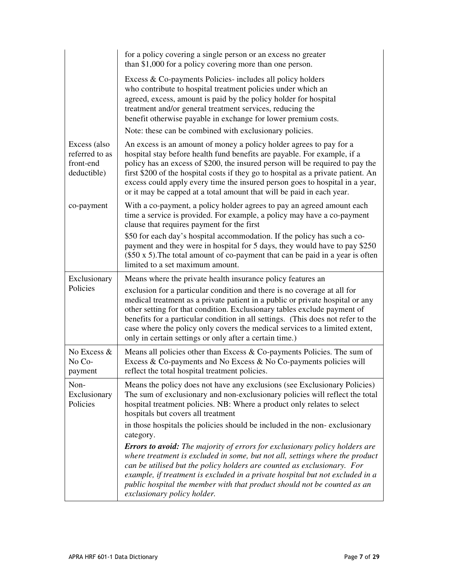|                                                            | for a policy covering a single person or an excess no greater<br>than \$1,000 for a policy covering more than one person.                                                                                                                                                                                                                                                                                                                                                      |
|------------------------------------------------------------|--------------------------------------------------------------------------------------------------------------------------------------------------------------------------------------------------------------------------------------------------------------------------------------------------------------------------------------------------------------------------------------------------------------------------------------------------------------------------------|
|                                                            | Excess & Co-payments Policies- includes all policy holders<br>who contribute to hospital treatment policies under which an<br>agreed, excess, amount is paid by the policy holder for hospital<br>treatment and/or general treatment services, reducing the<br>benefit otherwise payable in exchange for lower premium costs.                                                                                                                                                  |
|                                                            | Note: these can be combined with exclusionary policies.                                                                                                                                                                                                                                                                                                                                                                                                                        |
| Excess (also<br>referred to as<br>front-end<br>deductible) | An excess is an amount of money a policy holder agrees to pay for a<br>hospital stay before health fund benefits are payable. For example, if a<br>policy has an excess of \$200, the insured person will be required to pay the<br>first \$200 of the hospital costs if they go to hospital as a private patient. An<br>excess could apply every time the insured person goes to hospital in a year,<br>or it may be capped at a total amount that will be paid in each year. |
| co-payment                                                 | With a co-payment, a policy holder agrees to pay an agreed amount each<br>time a service is provided. For example, a policy may have a co-payment<br>clause that requires payment for the first                                                                                                                                                                                                                                                                                |
|                                                            | \$50 for each day's hospital accommodation. If the policy has such a co-<br>payment and they were in hospital for 5 days, they would have to pay \$250<br>$(\$50 \times 5)$ . The total amount of co-payment that can be paid in a year is often<br>limited to a set maximum amount.                                                                                                                                                                                           |
| Exclusionary                                               | Means where the private health insurance policy features an                                                                                                                                                                                                                                                                                                                                                                                                                    |
| Policies                                                   | exclusion for a particular condition and there is no coverage at all for<br>medical treatment as a private patient in a public or private hospital or any<br>other setting for that condition. Exclusionary tables exclude payment of<br>benefits for a particular condition in all settings. (This does not refer to the<br>case where the policy only covers the medical services to a limited extent,<br>only in certain settings or only after a certain time.)            |
| No Excess &<br>No Co-<br>payment                           | Means all policies other than Excess & Co-payments Policies. The sum of<br>Excess & Co-payments and No Excess & No Co-payments policies will<br>reflect the total hospital treatment policies.                                                                                                                                                                                                                                                                                 |
| Non-<br>Exclusionary<br>Policies                           | Means the policy does not have any exclusions (see Exclusionary Policies)<br>The sum of exclusionary and non-exclusionary policies will reflect the total<br>hospital treatment policies. NB: Where a product only relates to select<br>hospitals but covers all treatment                                                                                                                                                                                                     |
|                                                            | in those hospitals the policies should be included in the non-exclusionary<br>category.                                                                                                                                                                                                                                                                                                                                                                                        |
|                                                            | <b>Errors to avoid:</b> The majority of errors for exclusionary policy holders are<br>where treatment is excluded in some, but not all, settings where the product<br>can be utilised but the policy holders are counted as exclusionary. For<br>example, if treatment is excluded in a private hospital but not excluded in a<br>public hospital the member with that product should not be counted as an                                                                     |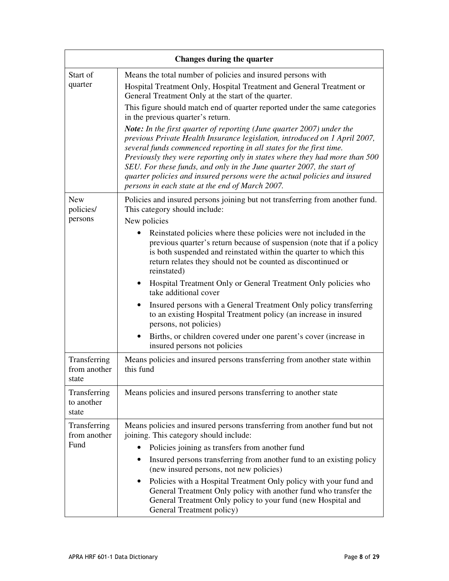| Changes during the quarter            |                                                                                                                                                                                                                                                                                                                                                                                                                                                                                                                          |
|---------------------------------------|--------------------------------------------------------------------------------------------------------------------------------------------------------------------------------------------------------------------------------------------------------------------------------------------------------------------------------------------------------------------------------------------------------------------------------------------------------------------------------------------------------------------------|
| Start of<br>quarter                   | Means the total number of policies and insured persons with<br>Hospital Treatment Only, Hospital Treatment and General Treatment or<br>General Treatment Only at the start of the quarter.                                                                                                                                                                                                                                                                                                                               |
|                                       | This figure should match end of quarter reported under the same categories<br>in the previous quarter's return.                                                                                                                                                                                                                                                                                                                                                                                                          |
|                                       | <b>Note:</b> In the first quarter of reporting (June quarter 2007) under the<br>previous Private Health Insurance legislation, introduced on 1 April 2007,<br>several funds commenced reporting in all states for the first time.<br>Previously they were reporting only in states where they had more than 500<br>SEU. For these funds, and only in the June quarter 2007, the start of<br>quarter policies and insured persons were the actual policies and insured<br>persons in each state at the end of March 2007. |
| <b>New</b><br>policies/<br>persons    | Policies and insured persons joining but not transferring from another fund.<br>This category should include:<br>New policies                                                                                                                                                                                                                                                                                                                                                                                            |
|                                       | Reinstated policies where these policies were not included in the<br>previous quarter's return because of suspension (note that if a policy<br>is both suspended and reinstated within the quarter to which this<br>return relates they should not be counted as discontinued or<br>reinstated)                                                                                                                                                                                                                          |
|                                       | Hospital Treatment Only or General Treatment Only policies who<br>take additional cover                                                                                                                                                                                                                                                                                                                                                                                                                                  |
|                                       | Insured persons with a General Treatment Only policy transferring<br>to an existing Hospital Treatment policy (an increase in insured<br>persons, not policies)                                                                                                                                                                                                                                                                                                                                                          |
|                                       | Births, or children covered under one parent's cover (increase in<br>insured persons not policies                                                                                                                                                                                                                                                                                                                                                                                                                        |
| Transferring<br>from another<br>state | Means policies and insured persons transferring from another state within<br>this fund                                                                                                                                                                                                                                                                                                                                                                                                                                   |
| Transferring<br>to another<br>state   | Means policies and insured persons transferring to another state                                                                                                                                                                                                                                                                                                                                                                                                                                                         |
| Transferring<br>from another<br>Fund  | Means policies and insured persons transferring from another fund but not<br>joining. This category should include:                                                                                                                                                                                                                                                                                                                                                                                                      |
|                                       | Policies joining as transfers from another fund                                                                                                                                                                                                                                                                                                                                                                                                                                                                          |
|                                       | Insured persons transferring from another fund to an existing policy<br>٠<br>(new insured persons, not new policies)                                                                                                                                                                                                                                                                                                                                                                                                     |
|                                       | Policies with a Hospital Treatment Only policy with your fund and<br>General Treatment Only policy with another fund who transfer the<br>General Treatment Only policy to your fund (new Hospital and<br>General Treatment policy)                                                                                                                                                                                                                                                                                       |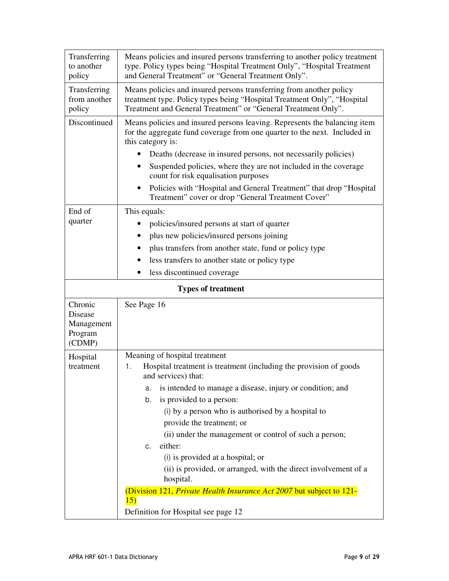| Transferring<br>to another<br>policy                  | Means policies and insured persons transferring to another policy treatment<br>type. Policy types being "Hospital Treatment Only", "Hospital Treatment<br>and General Treatment" or "General Treatment Only".                                                                                                                                                                                                                                                                                                                                                                                                                                  |
|-------------------------------------------------------|------------------------------------------------------------------------------------------------------------------------------------------------------------------------------------------------------------------------------------------------------------------------------------------------------------------------------------------------------------------------------------------------------------------------------------------------------------------------------------------------------------------------------------------------------------------------------------------------------------------------------------------------|
| Transferring<br>from another<br>policy                | Means policies and insured persons transferring from another policy<br>treatment type. Policy types being "Hospital Treatment Only", "Hospital<br>Treatment and General Treatment" or "General Treatment Only".                                                                                                                                                                                                                                                                                                                                                                                                                                |
| Discontinued                                          | Means policies and insured persons leaving. Represents the balancing item<br>for the aggregate fund coverage from one quarter to the next. Included in<br>this category is:<br>Deaths (decrease in insured persons, not necessarily policies)<br>Suspended policies, where they are not included in the coverage<br>$\bullet$<br>count for risk equalisation purposes<br>Policies with "Hospital and General Treatment" that drop "Hospital<br>$\bullet$<br>Treatment" cover or drop "General Treatment Cover"                                                                                                                                 |
| End of<br>quarter                                     | This equals:<br>policies/insured persons at start of quarter<br>plus new policies/insured persons joining<br>plus transfers from another state, fund or policy type<br>less transfers to another state or policy type<br>less discontinued coverage<br>$\bullet$                                                                                                                                                                                                                                                                                                                                                                               |
|                                                       | <b>Types of treatment</b>                                                                                                                                                                                                                                                                                                                                                                                                                                                                                                                                                                                                                      |
| Chronic<br>Disease<br>Management<br>Program<br>(CDMP) | See Page 16                                                                                                                                                                                                                                                                                                                                                                                                                                                                                                                                                                                                                                    |
| Hospital<br>treatment                                 | Meaning of hospital treatment<br>Hospital treatment is treatment (including the provision of goods)<br>1.<br>and services) that:<br>is intended to manage a disease, injury or condition; and<br>a.<br>is provided to a person:<br>b.<br>(i) by a person who is authorised by a hospital to<br>provide the treatment; or<br>(ii) under the management or control of such a person;<br>either:<br>C.<br>(i) is provided at a hospital; or<br>(ii) is provided, or arranged, with the direct involvement of a<br>hospital.<br>(Division 121, Private Health Insurance Act 2007 but subject to 121-<br>15)<br>Definition for Hospital see page 12 |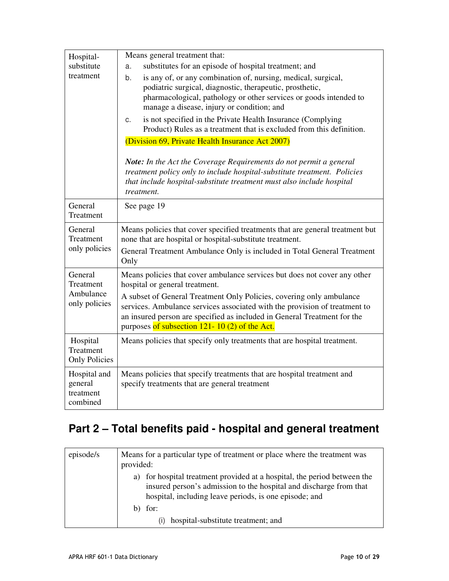| Hospital-<br>substitute<br>treatment               | Means general treatment that:<br>substitutes for an episode of hospital treatment; and<br>a.<br>is any of, or any combination of, nursing, medical, surgical,<br>b.<br>podiatric surgical, diagnostic, therapeutic, prosthetic,<br>pharmacological, pathology or other services or goods intended to<br>manage a disease, injury or condition; and<br>is not specified in the Private Health Insurance (Complying<br>C.<br>Product) Rules as a treatment that is excluded from this definition.<br>(Division 69, Private Health Insurance Act 2007) |
|----------------------------------------------------|-----------------------------------------------------------------------------------------------------------------------------------------------------------------------------------------------------------------------------------------------------------------------------------------------------------------------------------------------------------------------------------------------------------------------------------------------------------------------------------------------------------------------------------------------------|
|                                                    | <b>Note:</b> In the Act the Coverage Requirements do not permit a general<br>treatment policy only to include hospital-substitute treatment. Policies<br>that include hospital-substitute treatment must also include hospital<br>treatment.                                                                                                                                                                                                                                                                                                        |
| General<br>Treatment                               | See page 19                                                                                                                                                                                                                                                                                                                                                                                                                                                                                                                                         |
| General<br>Treatment<br>only policies              | Means policies that cover specified treatments that are general treatment but<br>none that are hospital or hospital-substitute treatment.<br>General Treatment Ambulance Only is included in Total General Treatment<br>Only                                                                                                                                                                                                                                                                                                                        |
| General<br>Treatment<br>Ambulance<br>only policies | Means policies that cover ambulance services but does not cover any other<br>hospital or general treatment.<br>A subset of General Treatment Only Policies, covering only ambulance<br>services. Ambulance services associated with the provision of treatment to<br>an insured person are specified as included in General Treatment for the<br>purposes of subsection 121-10 (2) of the Act.                                                                                                                                                      |
| Hospital<br>Treatment<br><b>Only Policies</b>      | Means policies that specify only treatments that are hospital treatment.                                                                                                                                                                                                                                                                                                                                                                                                                                                                            |
| Hospital and<br>general<br>treatment<br>combined   | Means policies that specify treatments that are hospital treatment and<br>specify treatments that are general treatment                                                                                                                                                                                                                                                                                                                                                                                                                             |

# **Part 2 – Total benefits paid - hospital and general treatment**

| episode/s | Means for a particular type of treatment or place where the treatment was<br>provided:                                                                                                                   |
|-----------|----------------------------------------------------------------------------------------------------------------------------------------------------------------------------------------------------------|
|           | a) for hospital treatment provided at a hospital, the period between the<br>insured person's admission to the hospital and discharge from that<br>hospital, including leave periods, is one episode; and |
|           | for:                                                                                                                                                                                                     |
|           | hospital-substitute treatment; and<br>(i)                                                                                                                                                                |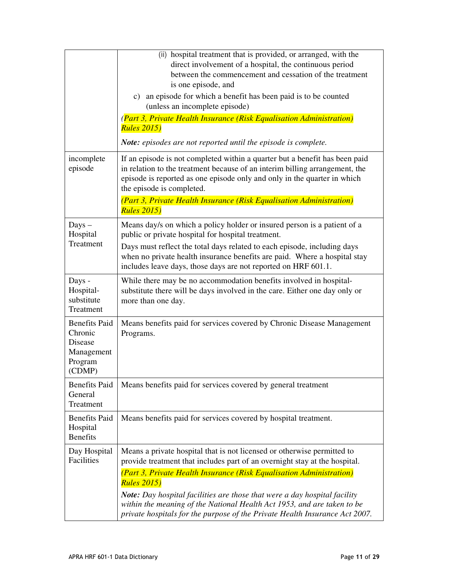|                                                                                      | (ii) hospital treatment that is provided, or arranged, with the<br>direct involvement of a hospital, the continuous period<br>between the commencement and cessation of the treatment<br>is one episode, and<br>c) an episode for which a benefit has been paid is to be counted<br>(unless an incomplete episode)<br>(Part 3, Private Health Insurance (Risk Equalisation Administration)<br><b>Rules 2015)</b> |
|--------------------------------------------------------------------------------------|------------------------------------------------------------------------------------------------------------------------------------------------------------------------------------------------------------------------------------------------------------------------------------------------------------------------------------------------------------------------------------------------------------------|
|                                                                                      | Note: episodes are not reported until the episode is complete.                                                                                                                                                                                                                                                                                                                                                   |
| incomplete<br>episode                                                                | If an episode is not completed within a quarter but a benefit has been paid<br>in relation to the treatment because of an interim billing arrangement, the<br>episode is reported as one episode only and only in the quarter in which<br>the episode is completed.                                                                                                                                              |
|                                                                                      | (Part 3, Private Health Insurance (Risk Equalisation Administration)<br><b>Rules 2015</b> )                                                                                                                                                                                                                                                                                                                      |
| $_{\text{Days}}$<br>Hospital                                                         | Means day/s on which a policy holder or insured person is a patient of a<br>public or private hospital for hospital treatment.                                                                                                                                                                                                                                                                                   |
| Treatment                                                                            | Days must reflect the total days related to each episode, including days<br>when no private health insurance benefits are paid. Where a hospital stay<br>includes leave days, those days are not reported on HRF 601.1.                                                                                                                                                                                          |
| Days -<br>Hospital-<br>substitute<br>Treatment                                       | While there may be no accommodation benefits involved in hospital-<br>substitute there will be days involved in the care. Either one day only or<br>more than one day.                                                                                                                                                                                                                                           |
| <b>Benefits Paid</b><br>Chronic<br><b>Disease</b><br>Management<br>Program<br>(CDMP) | Means benefits paid for services covered by Chronic Disease Management<br>Programs.                                                                                                                                                                                                                                                                                                                              |
| <b>Benefits Paid</b><br>General<br>Treatment                                         | Means benefits paid for services covered by general treatment                                                                                                                                                                                                                                                                                                                                                    |
| <b>Benefits Paid</b><br>Hospital<br><b>Benefits</b>                                  | Means benefits paid for services covered by hospital treatment.                                                                                                                                                                                                                                                                                                                                                  |
| Day Hospital<br>Facilities                                                           | Means a private hospital that is not licensed or otherwise permitted to<br>provide treatment that includes part of an overnight stay at the hospital.                                                                                                                                                                                                                                                            |
|                                                                                      | (Part 3, Private Health Insurance (Risk Equalisation Administration)<br><b>Rules 2015</b> )                                                                                                                                                                                                                                                                                                                      |
|                                                                                      | <b>Note:</b> Day hospital facilities are those that were a day hospital facility<br>within the meaning of the National Health Act 1953, and are taken to be<br>private hospitals for the purpose of the Private Health Insurance Act 2007.                                                                                                                                                                       |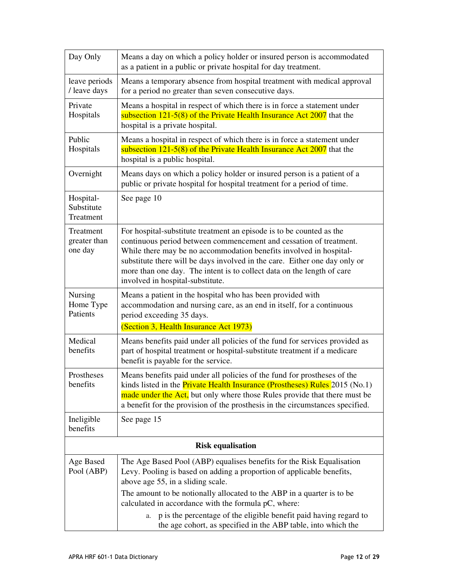| Day Only                             | Means a day on which a policy holder or insured person is accommodated<br>as a patient in a public or private hospital for day treatment.                                                                                                                                                                                                                                                                    |
|--------------------------------------|--------------------------------------------------------------------------------------------------------------------------------------------------------------------------------------------------------------------------------------------------------------------------------------------------------------------------------------------------------------------------------------------------------------|
| leave periods<br>/ leave days        | Means a temporary absence from hospital treatment with medical approval<br>for a period no greater than seven consecutive days.                                                                                                                                                                                                                                                                              |
| Private<br>Hospitals                 | Means a hospital in respect of which there is in force a statement under<br>subsection $121-5(8)$ of the Private Health Insurance Act $2007$ that the<br>hospital is a private hospital.                                                                                                                                                                                                                     |
| Public<br>Hospitals                  | Means a hospital in respect of which there is in force a statement under<br>subsection $121-5(8)$ of the Private Health Insurance Act 2007 that the<br>hospital is a public hospital.                                                                                                                                                                                                                        |
| Overnight                            | Means days on which a policy holder or insured person is a patient of a<br>public or private hospital for hospital treatment for a period of time.                                                                                                                                                                                                                                                           |
| Hospital-<br>Substitute<br>Treatment | See page 10                                                                                                                                                                                                                                                                                                                                                                                                  |
| Treatment<br>greater than<br>one day | For hospital-substitute treatment an episode is to be counted as the<br>continuous period between commencement and cessation of treatment.<br>While there may be no accommodation benefits involved in hospital-<br>substitute there will be days involved in the care. Either one day only or<br>more than one day. The intent is to collect data on the length of care<br>involved in hospital-substitute. |
| Nursing<br>Home Type<br>Patients     | Means a patient in the hospital who has been provided with<br>accommodation and nursing care, as an end in itself, for a continuous<br>period exceeding 35 days.<br>(Section 3, Health Insurance Act 1973)                                                                                                                                                                                                   |
| Medical<br>benefits                  | Means benefits paid under all policies of the fund for services provided as<br>part of hospital treatment or hospital-substitute treatment if a medicare<br>benefit is payable for the service.                                                                                                                                                                                                              |
| Prostheses<br>benefits               | Means benefits paid under all policies of the fund for prostheses of the<br>kinds listed in the <b>Private Health Insurance (Prostheses) Rules</b> $2015$ (No.1)<br>made under the Act, but only where those Rules provide that there must be<br>a benefit for the provision of the prosthesis in the circumstances specified.                                                                               |
| Ineligible<br>benefits               | See page 15                                                                                                                                                                                                                                                                                                                                                                                                  |
| <b>Risk equalisation</b>             |                                                                                                                                                                                                                                                                                                                                                                                                              |
| Age Based<br>Pool (ABP)              | The Age Based Pool (ABP) equalises benefits for the Risk Equalisation<br>Levy. Pooling is based on adding a proportion of applicable benefits,<br>above age 55, in a sliding scale.                                                                                                                                                                                                                          |
|                                      | The amount to be notionally allocated to the ABP in a quarter is to be<br>calculated in accordance with the formula pC, where:                                                                                                                                                                                                                                                                               |
|                                      | p is the percentage of the eligible benefit paid having regard to<br>a.<br>the age cohort, as specified in the ABP table, into which the                                                                                                                                                                                                                                                                     |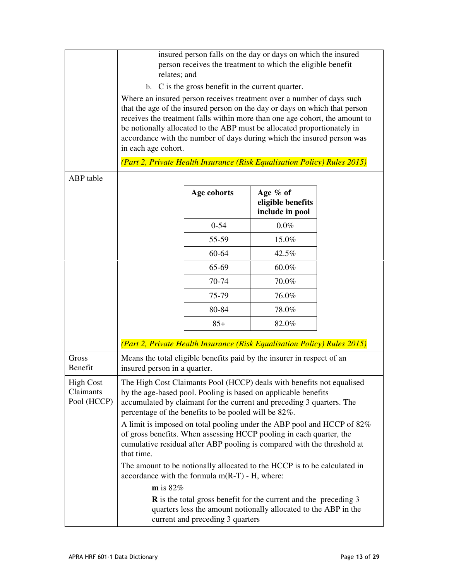|                                              | relates; and                 |                                                      | insured person falls on the day or days on which the insured<br>person receives the treatment to which the eligible benefit                                                                                                                                                                                                                                                                                                                                                                                              |  |
|----------------------------------------------|------------------------------|------------------------------------------------------|--------------------------------------------------------------------------------------------------------------------------------------------------------------------------------------------------------------------------------------------------------------------------------------------------------------------------------------------------------------------------------------------------------------------------------------------------------------------------------------------------------------------------|--|
|                                              |                              | b. C is the gross benefit in the current quarter.    |                                                                                                                                                                                                                                                                                                                                                                                                                                                                                                                          |  |
|                                              | in each age cohort.          |                                                      | Where an insured person receives treatment over a number of days such<br>that the age of the insured person on the day or days on which that person<br>receives the treatment falls within more than one age cohort, the amount to<br>be notionally allocated to the ABP must be allocated proportionately in<br>accordance with the number of days during which the insured person was                                                                                                                                  |  |
|                                              |                              |                                                      | (Part 2, Private Health Insurance (Risk Equalisation Policy) Rules 2015)                                                                                                                                                                                                                                                                                                                                                                                                                                                 |  |
| ABP table                                    |                              |                                                      |                                                                                                                                                                                                                                                                                                                                                                                                                                                                                                                          |  |
|                                              |                              | Age cohorts                                          | Age % of<br>eligible benefits<br>include in pool                                                                                                                                                                                                                                                                                                                                                                                                                                                                         |  |
|                                              |                              | $0 - 54$                                             | $0.0\%$                                                                                                                                                                                                                                                                                                                                                                                                                                                                                                                  |  |
|                                              |                              | 55-59                                                | 15.0%                                                                                                                                                                                                                                                                                                                                                                                                                                                                                                                    |  |
|                                              |                              | 60-64                                                | 42.5%                                                                                                                                                                                                                                                                                                                                                                                                                                                                                                                    |  |
|                                              |                              | 65-69                                                | 60.0%                                                                                                                                                                                                                                                                                                                                                                                                                                                                                                                    |  |
|                                              |                              | 70-74                                                | 70.0%                                                                                                                                                                                                                                                                                                                                                                                                                                                                                                                    |  |
|                                              |                              | 75-79                                                | 76.0%                                                                                                                                                                                                                                                                                                                                                                                                                                                                                                                    |  |
|                                              |                              | 80-84                                                | 78.0%                                                                                                                                                                                                                                                                                                                                                                                                                                                                                                                    |  |
|                                              |                              | $85+$                                                | 82.0%                                                                                                                                                                                                                                                                                                                                                                                                                                                                                                                    |  |
|                                              |                              |                                                      | (Part 2, Private Health Insurance (Risk Equalisation Policy) Rules 2015)                                                                                                                                                                                                                                                                                                                                                                                                                                                 |  |
| <b>Gross</b><br>Benefit                      | insured person in a quarter. |                                                      | Means the total eligible benefits paid by the insurer in respect of an                                                                                                                                                                                                                                                                                                                                                                                                                                                   |  |
| <b>High Cost</b><br>Claimants<br>Pool (HCCP) | that time.                   | percentage of the benefits to be pooled will be 82%. | The High Cost Claimants Pool (HCCP) deals with benefits not equalised<br>by the age-based pool. Pooling is based on applicable benefits<br>accumulated by claimant for the current and preceding 3 quarters. The<br>A limit is imposed on total pooling under the ABP pool and HCCP of 82%<br>of gross benefits. When assessing HCCP pooling in each quarter, the<br>cumulative residual after ABP pooling is compared with the threshold at<br>The amount to be notionally allocated to the HCCP is to be calculated in |  |
|                                              | $m$ is 82%                   | accordance with the formula $m(R-T)$ - H, where:     |                                                                                                                                                                                                                                                                                                                                                                                                                                                                                                                          |  |
|                                              |                              | current and preceding 3 quarters                     | <b>R</b> is the total gross benefit for the current and the preceding 3<br>quarters less the amount notionally allocated to the ABP in the                                                                                                                                                                                                                                                                                                                                                                               |  |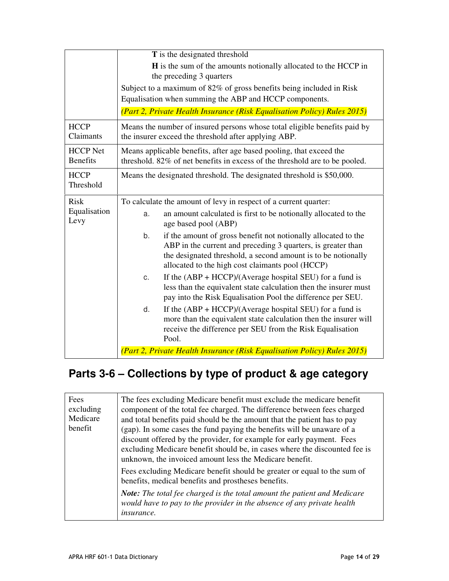|                                    | T is the designated threshold                                                                                                                                                                                                                             |  |
|------------------------------------|-----------------------------------------------------------------------------------------------------------------------------------------------------------------------------------------------------------------------------------------------------------|--|
|                                    | <b>H</b> is the sum of the amounts notionally allocated to the HCCP in<br>the preceding 3 quarters                                                                                                                                                        |  |
|                                    | Subject to a maximum of 82% of gross benefits being included in Risk<br>Equalisation when summing the ABP and HCCP components.                                                                                                                            |  |
|                                    | (Part 2, Private Health Insurance (Risk Equalisation Policy) Rules 2015)                                                                                                                                                                                  |  |
| <b>HCCP</b><br>Claimants           | Means the number of insured persons whose total eligible benefits paid by<br>the insurer exceed the threshold after applying ABP.                                                                                                                         |  |
| <b>HCCP</b> Net<br><b>Benefits</b> | Means applicable benefits, after age based pooling, that exceed the<br>threshold. 82% of net benefits in excess of the threshold are to be pooled.                                                                                                        |  |
| <b>HCCP</b><br>Threshold           | Means the designated threshold. The designated threshold is \$50,000.                                                                                                                                                                                     |  |
| <b>Risk</b>                        | To calculate the amount of levy in respect of a current quarter:                                                                                                                                                                                          |  |
| Equalisation<br>Levy               | an amount calculated is first to be notionally allocated to the<br>a.<br>age based pool (ABP)                                                                                                                                                             |  |
|                                    | if the amount of gross benefit not notionally allocated to the<br>b.<br>ABP in the current and preceding 3 quarters, is greater than<br>the designated threshold, a second amount is to be notionally<br>allocated to the high cost claimants pool (HCCP) |  |
|                                    | If the $(ABP + HCCP)/(Average hospital SEU)$ for a fund is<br>C.<br>less than the equivalent state calculation then the insurer must<br>pay into the Risk Equalisation Pool the difference per SEU.                                                       |  |
|                                    | If the $(ABP + HCCP)/(Average hospital SEU)$ for a fund is<br>d.<br>more than the equivalent state calculation then the insurer will<br>receive the difference per SEU from the Risk Equalisation<br>Pool.                                                |  |
|                                    | (Part 2, Private Health Insurance (Risk Equalisation Policy) Rules 2015)                                                                                                                                                                                  |  |

## **Parts 3-6 – Collections by type of product & age category**

| Fees<br>excluding<br>Medicare<br>benefit | The fees excluding Medicare benefit must exclude the medicare benefit<br>component of the total fee charged. The difference between fees charged<br>and total benefits paid should be the amount that the patient has to pay<br>(gap). In some cases the fund paying the benefits will be unaware of a<br>discount offered by the provider, for example for early payment. Fees<br>excluding Medicare benefit should be, in cases where the discounted fee is<br>unknown, the invoiced amount less the Medicare benefit.<br>Fees excluding Medicare benefit should be greater or equal to the sum of<br>benefits, medical benefits and prostheses benefits.<br>Note: The total fee charged is the total amount the patient and Medicare<br>would have to pay to the provider in the absence of any private health<br><i>insurance.</i> |
|------------------------------------------|----------------------------------------------------------------------------------------------------------------------------------------------------------------------------------------------------------------------------------------------------------------------------------------------------------------------------------------------------------------------------------------------------------------------------------------------------------------------------------------------------------------------------------------------------------------------------------------------------------------------------------------------------------------------------------------------------------------------------------------------------------------------------------------------------------------------------------------|
|------------------------------------------|----------------------------------------------------------------------------------------------------------------------------------------------------------------------------------------------------------------------------------------------------------------------------------------------------------------------------------------------------------------------------------------------------------------------------------------------------------------------------------------------------------------------------------------------------------------------------------------------------------------------------------------------------------------------------------------------------------------------------------------------------------------------------------------------------------------------------------------|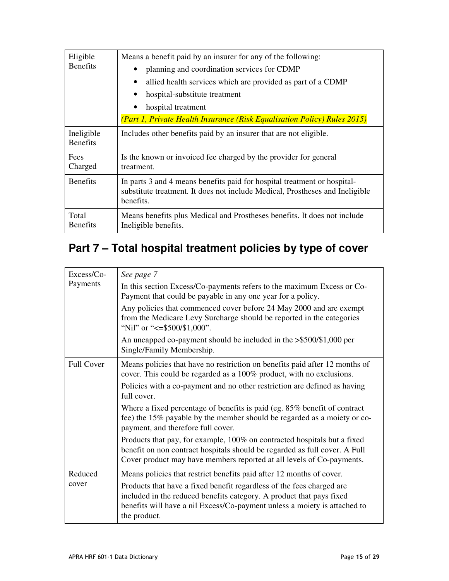| Eligible<br><b>Benefits</b>   | Means a benefit paid by an insurer for any of the following:<br>planning and coordination services for CDMP<br>allied health services which are provided as part of a CDMP<br>$\bullet$<br>hospital-substitute treatment |
|-------------------------------|--------------------------------------------------------------------------------------------------------------------------------------------------------------------------------------------------------------------------|
|                               | hospital treatment<br>(Part 1, Private Health Insurance (Risk Equalisation Policy) Rules 2015)                                                                                                                           |
| Ineligible<br><b>Benefits</b> | Includes other benefits paid by an insurer that are not eligible.                                                                                                                                                        |
| Fees<br>Charged               | Is the known or invoiced fee charged by the provider for general<br>treatment.                                                                                                                                           |
| <b>Benefits</b>               | In parts 3 and 4 means benefits paid for hospital treatment or hospital-<br>substitute treatment. It does not include Medical, Prostheses and Ineligible<br>benefits.                                                    |
| Total<br><b>Benefits</b>      | Means benefits plus Medical and Prostheses benefits. It does not include<br>Ineligible benefits.                                                                                                                         |

# **Part 7 – Total hospital treatment policies by type of cover**

| $Excess/Co-$      | See page 7                                                                                                                                                                                                                                 |
|-------------------|--------------------------------------------------------------------------------------------------------------------------------------------------------------------------------------------------------------------------------------------|
| Payments          | In this section Excess/Co-payments refers to the maximum Excess or Co-<br>Payment that could be payable in any one year for a policy.                                                                                                      |
|                   | Any policies that commenced cover before 24 May 2000 and are exempt<br>from the Medicare Levy Surcharge should be reported in the categories<br>"Nil" or " $\leq$ =\$500/\$1,000".                                                         |
|                   | An uncapped co-payment should be included in the >\$500/\$1,000 per<br>Single/Family Membership.                                                                                                                                           |
| <b>Full Cover</b> | Means policies that have no restriction on benefits paid after 12 months of<br>cover. This could be regarded as a 100% product, with no exclusions.                                                                                        |
|                   | Policies with a co-payment and no other restriction are defined as having<br>full cover.                                                                                                                                                   |
|                   | Where a fixed percentage of benefits is paid (eg. 85% benefit of contract<br>fee) the 15% payable by the member should be regarded as a moiety or co-<br>payment, and therefore full cover.                                                |
|                   | Products that pay, for example, 100% on contracted hospitals but a fixed<br>benefit on non contract hospitals should be regarded as full cover. A Full<br>Cover product may have members reported at all levels of Co-payments.            |
| Reduced           | Means policies that restrict benefits paid after 12 months of cover.                                                                                                                                                                       |
| cover             | Products that have a fixed benefit regardless of the fees charged are<br>included in the reduced benefits category. A product that pays fixed<br>benefits will have a nil Excess/Co-payment unless a moiety is attached to<br>the product. |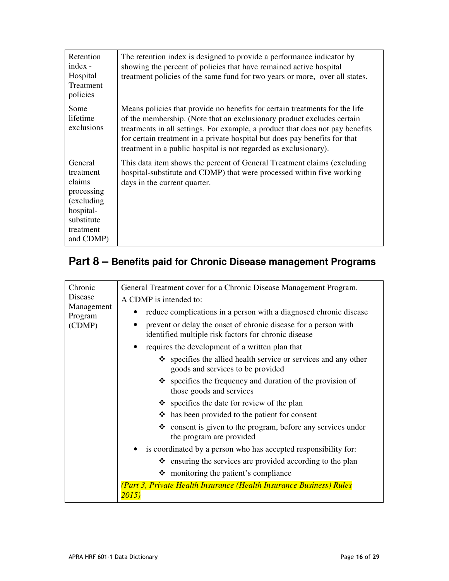| Retention<br>$index -$<br>Hospital<br>Treatment<br>policies                                                      | The retention index is designed to provide a performance indicator by<br>showing the percent of policies that have remained active hospital<br>treatment policies of the same fund for two years or more, over all states.                                                                                                                                                               |
|------------------------------------------------------------------------------------------------------------------|------------------------------------------------------------------------------------------------------------------------------------------------------------------------------------------------------------------------------------------------------------------------------------------------------------------------------------------------------------------------------------------|
| Some<br>lifetime<br>exclusions                                                                                   | Means policies that provide no benefits for certain treatments for the life<br>of the membership. (Note that an exclusionary product excludes certain<br>treatments in all settings. For example, a product that does not pay benefits<br>for certain treatment in a private hospital but does pay benefits for that<br>treatment in a public hospital is not regarded as exclusionary). |
| General<br>treatment<br>claims<br>processing<br>(excluding)<br>hospital-<br>substitute<br>treatment<br>and CDMP) | This data item shows the percent of General Treatment claims (excluding<br>hospital-substitute and CDMP) that were processed within five working<br>days in the current quarter.                                                                                                                                                                                                         |

## **Part 8 – Benefits paid for Chronic Disease management Programs**

| Chronic                                    | General Treatment cover for a Chronic Disease Management Program.                                                       |
|--------------------------------------------|-------------------------------------------------------------------------------------------------------------------------|
| Disease<br>Management<br>Program<br>(CDMP) | A CDMP is intended to:                                                                                                  |
|                                            | reduce complications in a person with a diagnosed chronic disease                                                       |
|                                            | prevent or delay the onset of chronic disease for a person with<br>identified multiple risk factors for chronic disease |
|                                            | • requires the development of a written plan that                                                                       |
|                                            | $\div$ specifies the allied health service or services and any other<br>goods and services to be provided               |
|                                            | $\triangle$ specifies the frequency and duration of the provision of<br>those goods and services                        |
|                                            | $\triangle$ specifies the date for review of the plan                                                                   |
|                                            | $\triangle$ has been provided to the patient for consent                                                                |
|                                            | $\triangle$ consent is given to the program, before any services under<br>the program are provided                      |
|                                            | is coordinated by a person who has accepted responsibility for:                                                         |
|                                            | $\triangle$ ensuring the services are provided according to the plan                                                    |
|                                            | $\div$ monitoring the patient's compliance                                                                              |
|                                            | (Part 3, Private Health Insurance (Health Insurance Business) Rules<br>2015)                                            |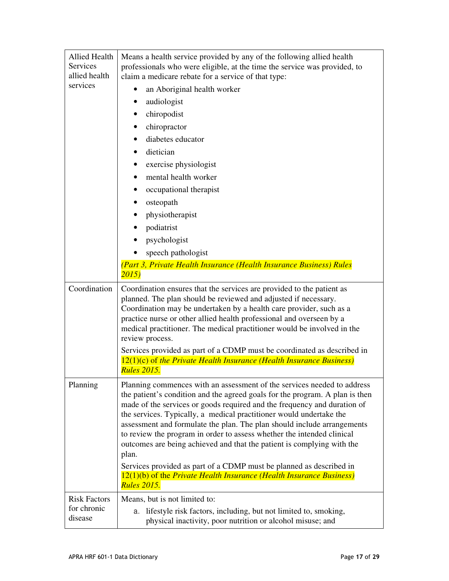| <b>Allied Health</b><br><b>Services</b><br>allied health | Means a health service provided by any of the following allied health<br>professionals who were eligible, at the time the service was provided, to<br>claim a medicare rebate for a service of that type:                                                                                                                                                                                                                                                                                                                                                                                                                                                                                                                 |
|----------------------------------------------------------|---------------------------------------------------------------------------------------------------------------------------------------------------------------------------------------------------------------------------------------------------------------------------------------------------------------------------------------------------------------------------------------------------------------------------------------------------------------------------------------------------------------------------------------------------------------------------------------------------------------------------------------------------------------------------------------------------------------------------|
| services                                                 | an Aboriginal health worker                                                                                                                                                                                                                                                                                                                                                                                                                                                                                                                                                                                                                                                                                               |
|                                                          | audiologist                                                                                                                                                                                                                                                                                                                                                                                                                                                                                                                                                                                                                                                                                                               |
|                                                          | chiropodist<br>٠                                                                                                                                                                                                                                                                                                                                                                                                                                                                                                                                                                                                                                                                                                          |
|                                                          | chiropractor                                                                                                                                                                                                                                                                                                                                                                                                                                                                                                                                                                                                                                                                                                              |
|                                                          | diabetes educator                                                                                                                                                                                                                                                                                                                                                                                                                                                                                                                                                                                                                                                                                                         |
|                                                          | dietician                                                                                                                                                                                                                                                                                                                                                                                                                                                                                                                                                                                                                                                                                                                 |
|                                                          | exercise physiologist                                                                                                                                                                                                                                                                                                                                                                                                                                                                                                                                                                                                                                                                                                     |
|                                                          | mental health worker                                                                                                                                                                                                                                                                                                                                                                                                                                                                                                                                                                                                                                                                                                      |
|                                                          | occupational therapist                                                                                                                                                                                                                                                                                                                                                                                                                                                                                                                                                                                                                                                                                                    |
|                                                          | osteopath                                                                                                                                                                                                                                                                                                                                                                                                                                                                                                                                                                                                                                                                                                                 |
|                                                          | physiotherapist                                                                                                                                                                                                                                                                                                                                                                                                                                                                                                                                                                                                                                                                                                           |
|                                                          | podiatrist                                                                                                                                                                                                                                                                                                                                                                                                                                                                                                                                                                                                                                                                                                                |
|                                                          | psychologist                                                                                                                                                                                                                                                                                                                                                                                                                                                                                                                                                                                                                                                                                                              |
|                                                          | speech pathologist                                                                                                                                                                                                                                                                                                                                                                                                                                                                                                                                                                                                                                                                                                        |
|                                                          | (Part 3, Private Health Insurance (Health Insurance Business) Rules<br>2015)                                                                                                                                                                                                                                                                                                                                                                                                                                                                                                                                                                                                                                              |
| Coordination                                             | Coordination ensures that the services are provided to the patient as<br>planned. The plan should be reviewed and adjusted if necessary.<br>Coordination may be undertaken by a health care provider, such as a<br>practice nurse or other allied health professional and overseen by a<br>medical practitioner. The medical practitioner would be involved in the<br>review process.                                                                                                                                                                                                                                                                                                                                     |
|                                                          | Services provided as part of a CDMP must be coordinated as described in<br>$12(1)(c)$ of the Private Health Insurance (Health Insurance Business)<br><b>Rules 2015.</b>                                                                                                                                                                                                                                                                                                                                                                                                                                                                                                                                                   |
| Planning                                                 | Planning commences with an assessment of the services needed to address<br>the patient's condition and the agreed goals for the program. A plan is then<br>made of the services or goods required and the frequency and duration of<br>the services. Typically, a medical practitioner would undertake the<br>assessment and formulate the plan. The plan should include arrangements<br>to review the program in order to assess whether the intended clinical<br>outcomes are being achieved and that the patient is complying with the<br>plan.<br>Services provided as part of a CDMP must be planned as described in<br>$12(1)(b)$ of the Private Health Insurance (Health Insurance Business)<br><b>Rules 2015.</b> |
| <b>Risk Factors</b>                                      | Means, but is not limited to:                                                                                                                                                                                                                                                                                                                                                                                                                                                                                                                                                                                                                                                                                             |
| for chronic<br>disease                                   | a. lifestyle risk factors, including, but not limited to, smoking,<br>physical inactivity, poor nutrition or alcohol misuse; and                                                                                                                                                                                                                                                                                                                                                                                                                                                                                                                                                                                          |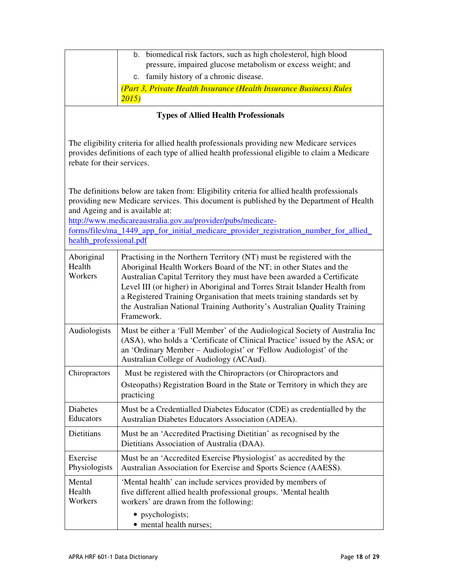| b. biomedical risk factors, such as high cholesterol, high blood<br>pressure, impaired glucose metabolism or excess weight; and<br>c. family history of a chronic disease. |
|----------------------------------------------------------------------------------------------------------------------------------------------------------------------------|
| (Part 3, Private Health Insurance (Health Insurance Business) Rules<br>2015)                                                                                               |

### **Types of Allied Health Professionals**

The eligibility criteria for allied health professionals providing new Medicare services provides definitions of each type of allied health professional eligible to claim a Medicare rebate for their services.

The definitions below are taken from: Eligibility criteria for allied health professionals providing new Medicare services. This document is published by the Department of Health and Ageing and is available at:

http://www.medicareaustralia.gov.au/provider/pubs/medicare-

forms/files/ma\_1449\_app\_for\_initial\_medicare\_provider\_registration\_number\_for\_allied\_ health\_professional.pdf

| Aboriginal<br>Health<br>Workers | Practising in the Northern Territory (NT) must be registered with the<br>Aboriginal Health Workers Board of the NT; in other States and the<br>Australian Capital Territory they must have been awarded a Certificate<br>Level III (or higher) in Aboriginal and Torres Strait Islander Health from<br>a Registered Training Organisation that meets training standards set by<br>the Australian National Training Authority's Australian Quality Training<br>Framework. |
|---------------------------------|--------------------------------------------------------------------------------------------------------------------------------------------------------------------------------------------------------------------------------------------------------------------------------------------------------------------------------------------------------------------------------------------------------------------------------------------------------------------------|
| Audiologists                    | Must be either a 'Full Member' of the Audiological Society of Australia Inc<br>(ASA), who holds a 'Certificate of Clinical Practice' issued by the ASA; or<br>an 'Ordinary Member - Audiologist' or 'Fellow Audiologist' of the<br>Australian College of Audiology (ACAud).                                                                                                                                                                                              |
| Chiropractors                   | Must be registered with the Chiropractors (or Chiropractors and<br>Osteopaths) Registration Board in the State or Territory in which they are<br>practicing                                                                                                                                                                                                                                                                                                              |
| <b>Diabetes</b><br>Educators    | Must be a Credentialled Diabetes Educator (CDE) as credentialled by the<br>Australian Diabetes Educators Association (ADEA).                                                                                                                                                                                                                                                                                                                                             |
| Dietitians                      | Must be an 'Accredited Practising Dietitian' as recognised by the<br>Dietitians Association of Australia (DAA).                                                                                                                                                                                                                                                                                                                                                          |
| Exercise<br>Physiologists       | Must be an 'Accredited Exercise Physiologist' as accredited by the<br>Australian Association for Exercise and Sports Science (AAESS).                                                                                                                                                                                                                                                                                                                                    |
| Mental<br>Health<br>Workers     | 'Mental health' can include services provided by members of<br>five different allied health professional groups. 'Mental health<br>workers' are drawn from the following:                                                                                                                                                                                                                                                                                                |
|                                 | • psychologists;<br>• mental health nurses;                                                                                                                                                                                                                                                                                                                                                                                                                              |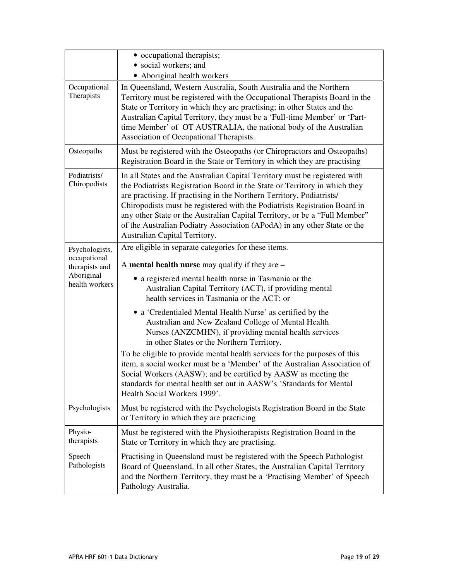|                                | • occupational therapists;<br>• social workers; and<br>• Aboriginal health workers                                                                                                                                                                                                                                                                                                                                                                                                                         |
|--------------------------------|------------------------------------------------------------------------------------------------------------------------------------------------------------------------------------------------------------------------------------------------------------------------------------------------------------------------------------------------------------------------------------------------------------------------------------------------------------------------------------------------------------|
| Occupational<br>Therapists     | In Queensland, Western Australia, South Australia and the Northern<br>Territory must be registered with the Occupational Therapists Board in the<br>State or Territory in which they are practising; in other States and the<br>Australian Capital Territory, they must be a 'Full-time Member' or 'Part-<br>time Member' of OT AUSTRALIA, the national body of the Australian<br>Association of Occupational Therapists.                                                                                  |
| Osteopaths                     | Must be registered with the Osteopaths (or Chiropractors and Osteopaths)<br>Registration Board in the State or Territory in which they are practising                                                                                                                                                                                                                                                                                                                                                      |
| Podiatrists/<br>Chiropodists   | In all States and the Australian Capital Territory must be registered with<br>the Podiatrists Registration Board in the State or Territory in which they<br>are practising. If practising in the Northern Territory, Podiatrists/<br>Chiropodists must be registered with the Podiatrists Registration Board in<br>any other State or the Australian Capital Territory, or be a "Full Member"<br>of the Australian Podiatry Association (APodA) in any other State or the<br>Australian Capital Territory. |
| Psychologists,<br>occupational | Are eligible in separate categories for these items.                                                                                                                                                                                                                                                                                                                                                                                                                                                       |
| therapists and<br>Aboriginal   | A mental health nurse may qualify if they are $-$                                                                                                                                                                                                                                                                                                                                                                                                                                                          |
| health workers                 | • a registered mental health nurse in Tasmania or the<br>Australian Capital Territory (ACT), if providing mental<br>health services in Tasmania or the ACT; or                                                                                                                                                                                                                                                                                                                                             |
|                                | • a 'Credentialed Mental Health Nurse' as certified by the<br>Australian and New Zealand College of Mental Health<br>Nurses (ANZCMHN), if providing mental health services<br>in other States or the Northern Territory.                                                                                                                                                                                                                                                                                   |
|                                | To be eligible to provide mental health services for the purposes of this<br>item, a social worker must be a 'Member' of the Australian Association of<br>Social Workers (AASW); and be certified by AASW as meeting the<br>standards for mental health set out in AASW's 'Standards for Mental<br>Health Social Workers 1999'.                                                                                                                                                                            |
| Psychologists                  | Must be registered with the Psychologists Registration Board in the State<br>or Territory in which they are practicing                                                                                                                                                                                                                                                                                                                                                                                     |
| Physio-<br>therapists          | Must be registered with the Physiotherapists Registration Board in the<br>State or Territory in which they are practising.                                                                                                                                                                                                                                                                                                                                                                                 |
| Speech<br>Pathologists         | Practising in Queensland must be registered with the Speech Pathologist<br>Board of Queensland. In all other States, the Australian Capital Territory<br>and the Northern Territory, they must be a 'Practising Member' of Speech<br>Pathology Australia.                                                                                                                                                                                                                                                  |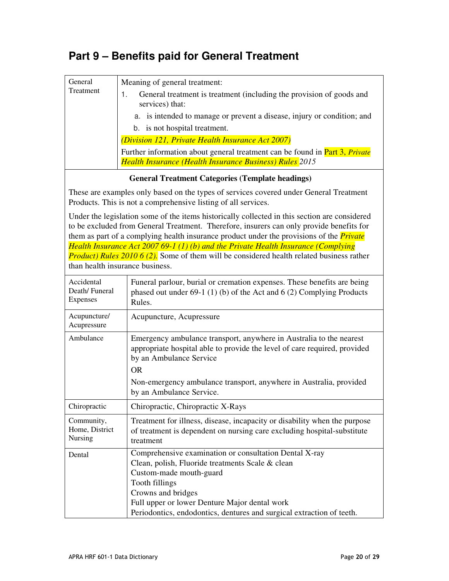### **Part 9 – Benefits paid for General Treatment**

| General<br>Treatment | Meaning of general treatment:                                                              |
|----------------------|--------------------------------------------------------------------------------------------|
|                      | General treatment is treatment (including the provision of goods and<br>services) that:    |
|                      | a. is intended to manage or prevent a disease, injury or condition; and                    |
|                      | b. is not hospital treatment.                                                              |
|                      | (Division 121, Private Health Insurance Act 2007)                                          |
|                      | Further information about general treatment can be found in <b>Part 3</b> , <i>Private</i> |
|                      | <b>Health Insurance (Health Insurance Business) Rules</b> 2015                             |

#### **General Treatment Categories (Template headings)**

These are examples only based on the types of services covered under General Treatment Products. This is not a comprehensive listing of all services.

Under the legislation some of the items historically collected in this section are considered to be excluded from General Treatment. Therefore, insurers can only provide benefits for them as part of a complying health insurance product under the provisions of the *Private Health Insurance Act 2007 69-1 (1) (b) and the Private Health Insurance (Complying Product) Rules 2010 6 (2).* Some of them will be considered health related business rather than health insurance business.

| Accidental<br>Death/Funeral<br>Expenses | Funeral parlour, burial or cremation expenses. These benefits are being<br>phased out under $69-1$ (1) (b) of the Act and 6 (2) Complying Products<br>Rules.                                                                                                                                            |
|-----------------------------------------|---------------------------------------------------------------------------------------------------------------------------------------------------------------------------------------------------------------------------------------------------------------------------------------------------------|
| Acupuncture/<br>Acupressure             | Acupuncture, Acupressure                                                                                                                                                                                                                                                                                |
| Ambulance                               | Emergency ambulance transport, anywhere in Australia to the nearest<br>appropriate hospital able to provide the level of care required, provided<br>by an Ambulance Service<br><b>OR</b><br>Non-emergency ambulance transport, anywhere in Australia, provided<br>by an Ambulance Service.              |
| Chiropractic                            | Chiropractic, Chiropractic X-Rays                                                                                                                                                                                                                                                                       |
| Community,<br>Home, District<br>Nursing | Treatment for illness, disease, incapacity or disability when the purpose<br>of treatment is dependent on nursing care excluding hospital-substitute<br>treatment                                                                                                                                       |
| Dental                                  | Comprehensive examination or consultation Dental X-ray<br>Clean, polish, Fluoride treatments Scale & clean<br>Custom-made mouth-guard<br>Tooth fillings<br>Crowns and bridges<br>Full upper or lower Denture Major dental work<br>Periodontics, endodontics, dentures and surgical extraction of teeth. |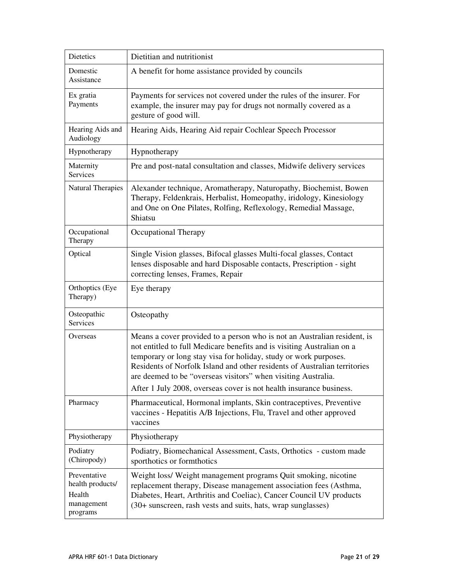| Dietetics                                                            | Dietitian and nutritionist                                                                                                                                                                                                                                                                                                                                                                                                                  |
|----------------------------------------------------------------------|---------------------------------------------------------------------------------------------------------------------------------------------------------------------------------------------------------------------------------------------------------------------------------------------------------------------------------------------------------------------------------------------------------------------------------------------|
| Domestic<br>Assistance                                               | A benefit for home assistance provided by councils                                                                                                                                                                                                                                                                                                                                                                                          |
| Ex gratia<br>Payments                                                | Payments for services not covered under the rules of the insurer. For<br>example, the insurer may pay for drugs not normally covered as a<br>gesture of good will.                                                                                                                                                                                                                                                                          |
| Hearing Aids and<br>Audiology                                        | Hearing Aids, Hearing Aid repair Cochlear Speech Processor                                                                                                                                                                                                                                                                                                                                                                                  |
| Hypnotherapy                                                         | Hypnotherapy                                                                                                                                                                                                                                                                                                                                                                                                                                |
| Maternity<br>Services                                                | Pre and post-natal consultation and classes, Midwife delivery services                                                                                                                                                                                                                                                                                                                                                                      |
| <b>Natural Therapies</b>                                             | Alexander technique, Aromatherapy, Naturopathy, Biochemist, Bowen<br>Therapy, Feldenkrais, Herbalist, Homeopathy, iridology, Kinesiology<br>and One on One Pilates, Rolfing, Reflexology, Remedial Massage,<br>Shiatsu                                                                                                                                                                                                                      |
| Occupational<br>Therapy                                              | Occupational Therapy                                                                                                                                                                                                                                                                                                                                                                                                                        |
| Optical                                                              | Single Vision glasses, Bifocal glasses Multi-focal glasses, Contact<br>lenses disposable and hard Disposable contacts, Prescription - sight<br>correcting lenses, Frames, Repair                                                                                                                                                                                                                                                            |
| Orthoptics (Eye<br>Therapy)                                          | Eye therapy                                                                                                                                                                                                                                                                                                                                                                                                                                 |
| Osteopathic<br>Services                                              | Osteopathy                                                                                                                                                                                                                                                                                                                                                                                                                                  |
| Overseas                                                             | Means a cover provided to a person who is not an Australian resident, is<br>not entitled to full Medicare benefits and is visiting Australian on a<br>temporary or long stay visa for holiday, study or work purposes.<br>Residents of Norfolk Island and other residents of Australian territories<br>are deemed to be "overseas visitors" when visiting Australia.<br>After 1 July 2008, overseas cover is not health insurance business. |
| Pharmacy                                                             | Pharmaceutical, Hormonal implants, Skin contraceptives, Preventive<br>vaccines - Hepatitis A/B Injections, Flu, Travel and other approved<br>vaccines                                                                                                                                                                                                                                                                                       |
| Physiotherapy                                                        | Physiotherapy                                                                                                                                                                                                                                                                                                                                                                                                                               |
| Podiatry<br>(Chiropody)                                              | Podiatry, Biomechanical Assessment, Casts, Orthotics - custom made<br>sporthotics or formthotics                                                                                                                                                                                                                                                                                                                                            |
| Preventative<br>health products/<br>Health<br>management<br>programs | Weight loss/ Weight management programs Quit smoking, nicotine<br>replacement therapy, Disease management association fees (Asthma,<br>Diabetes, Heart, Arthritis and Coeliac), Cancer Council UV products<br>(30+ sunscreen, rash vests and suits, hats, wrap sunglasses)                                                                                                                                                                  |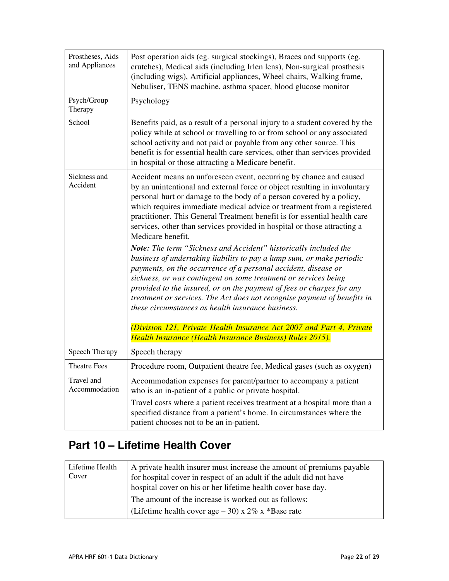| Prostheses, Aids<br>and Appliances | Post operation aids (eg. surgical stockings), Braces and supports (eg.<br>crutches), Medical aids (including Irlen lens), Non-surgical prosthesis<br>(including wigs), Artificial appliances, Wheel chairs, Walking frame,<br>Nebuliser, TENS machine, asthma spacer, blood glucose monitor                                                                                                                                                                                                                                                                                                                                                                                                                                                                                                                                                                                                                                                                                                                                                                                                                      |
|------------------------------------|------------------------------------------------------------------------------------------------------------------------------------------------------------------------------------------------------------------------------------------------------------------------------------------------------------------------------------------------------------------------------------------------------------------------------------------------------------------------------------------------------------------------------------------------------------------------------------------------------------------------------------------------------------------------------------------------------------------------------------------------------------------------------------------------------------------------------------------------------------------------------------------------------------------------------------------------------------------------------------------------------------------------------------------------------------------------------------------------------------------|
| Psych/Group<br>Therapy             | Psychology                                                                                                                                                                                                                                                                                                                                                                                                                                                                                                                                                                                                                                                                                                                                                                                                                                                                                                                                                                                                                                                                                                       |
| School                             | Benefits paid, as a result of a personal injury to a student covered by the<br>policy while at school or travelling to or from school or any associated<br>school activity and not paid or payable from any other source. This<br>benefit is for essential health care services, other than services provided<br>in hospital or those attracting a Medicare benefit.                                                                                                                                                                                                                                                                                                                                                                                                                                                                                                                                                                                                                                                                                                                                             |
| Sickness and<br>Accident           | Accident means an unforeseen event, occurring by chance and caused<br>by an unintentional and external force or object resulting in involuntary<br>personal hurt or damage to the body of a person covered by a policy,<br>which requires immediate medical advice or treatment from a registered<br>practitioner. This General Treatment benefit is for essential health care<br>services, other than services provided in hospital or those attracting a<br>Medicare benefit.<br>Note: The term "Sickness and Accident" historically included the<br>business of undertaking liability to pay a lump sum, or make periodic<br>payments, on the occurrence of a personal accident, disease or<br>sickness, or was contingent on some treatment or services being<br>provided to the insured, or on the payment of fees or charges for any<br>treatment or services. The Act does not recognise payment of benefits in<br>these circumstances as health insurance business.<br>(Division 121, Private Health Insurance Act 2007 and Part 4, Private<br>Health Insurance (Health Insurance Business) Rules 2015). |
| Speech Therapy                     | Speech therapy                                                                                                                                                                                                                                                                                                                                                                                                                                                                                                                                                                                                                                                                                                                                                                                                                                                                                                                                                                                                                                                                                                   |
| <b>Theatre Fees</b>                | Procedure room, Outpatient theatre fee, Medical gases (such as oxygen)                                                                                                                                                                                                                                                                                                                                                                                                                                                                                                                                                                                                                                                                                                                                                                                                                                                                                                                                                                                                                                           |
| Travel and<br>Accommodation        | Accommodation expenses for parent/partner to accompany a patient<br>who is an in-patient of a public or private hospital.<br>Travel costs where a patient receives treatment at a hospital more than a<br>specified distance from a patient's home. In circumstances where the<br>patient chooses not to be an in-patient.                                                                                                                                                                                                                                                                                                                                                                                                                                                                                                                                                                                                                                                                                                                                                                                       |

## **Part 10 – Lifetime Health Cover**

| Lifetime Health<br>Cover | A private health insurer must increase the amount of premiums payable<br>for hospital cover in respect of an adult if the adult did not have<br>hospital cover on his or her lifetime health cover base day. |
|--------------------------|--------------------------------------------------------------------------------------------------------------------------------------------------------------------------------------------------------------|
|                          | The amount of the increase is worked out as follows:<br>(Lifetime health cover age $-30$ ) x 2\% x *Base rate                                                                                                |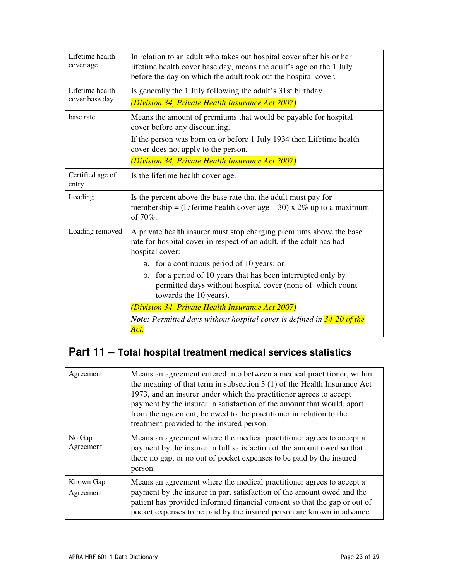| Lifetime health<br>cover age      | In relation to an adult who takes out hospital cover after his or her<br>lifetime health cover base day, means the adult's age on the 1 July<br>before the day on which the adult took out the hospital cover.  |
|-----------------------------------|-----------------------------------------------------------------------------------------------------------------------------------------------------------------------------------------------------------------|
| Lifetime health<br>cover base day | Is generally the 1 July following the adult's 31st birthday.<br>(Division 34, Private Health Insurance Act 2007)                                                                                                |
| base rate                         | Means the amount of premiums that would be payable for hospital<br>cover before any discounting.<br>If the person was born on or before 1 July 1934 then Lifetime health<br>cover does not apply to the person. |
|                                   | (Division 34, Private Health Insurance Act 2007)                                                                                                                                                                |
| Certified age of<br>entry         | Is the lifetime health cover age.                                                                                                                                                                               |
| Loading                           | Is the percent above the base rate that the adult must pay for<br>membership = (Lifetime health cover age $-30$ ) x 2% up to a maximum<br>of 70%.                                                               |
| Loading removed                   | A private health insurer must stop charging premiums above the base<br>rate for hospital cover in respect of an adult, if the adult has had<br>hospital cover:                                                  |
|                                   | a. for a continuous period of 10 years; or                                                                                                                                                                      |
|                                   | for a period of 10 years that has been interrupted only by<br>b.<br>permitted days without hospital cover (none of which count<br>towards the 10 years).                                                        |
|                                   | (Division 34, Private Health Insurance Act 2007)                                                                                                                                                                |
|                                   | <b>Note:</b> Permitted days without hospital cover is defined in 34-20 of the<br>Act.                                                                                                                           |

## **Part 11 – Total hospital treatment medical services statistics**

| Agreement              | Means an agreement entered into between a medical practitioner, within<br>the meaning of that term in subsection $3(1)$ of the Health Insurance Act<br>1973, and an insurer under which the practitioner agrees to accept<br>payment by the insurer in satisfaction of the amount that would, apart<br>from the agreement, be owed to the practitioner in relation to the<br>treatment provided to the insured person. |
|------------------------|------------------------------------------------------------------------------------------------------------------------------------------------------------------------------------------------------------------------------------------------------------------------------------------------------------------------------------------------------------------------------------------------------------------------|
| No Gap<br>Agreement    | Means an agreement where the medical practitioner agrees to accept a<br>payment by the insurer in full satisfaction of the amount owed so that<br>there no gap, or no out of pocket expenses to be paid by the insured<br>person.                                                                                                                                                                                      |
| Known Gap<br>Agreement | Means an agreement where the medical practitioner agrees to accept a<br>payment by the insurer in part satisfaction of the amount owed and the<br>patient has provided informed financial consent so that the gap or out of<br>pocket expenses to be paid by the insured person are known in advance.                                                                                                                  |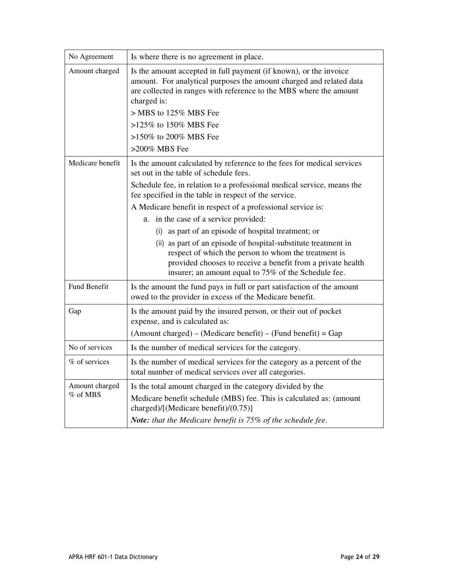| No Agreement               | Is where there is no agreement in place.                                                                                                                                                                                                      |
|----------------------------|-----------------------------------------------------------------------------------------------------------------------------------------------------------------------------------------------------------------------------------------------|
| Amount charged             | Is the amount accepted in full payment (if known), or the invoice<br>amount. For analytical purposes the amount charged and related data<br>are collected in ranges with reference to the MBS where the amount<br>charged is:                 |
|                            | > MBS to 125% MBS Fee                                                                                                                                                                                                                         |
|                            | >125% to 150% MBS Fee                                                                                                                                                                                                                         |
|                            | >150% to 200% MBS Fee                                                                                                                                                                                                                         |
|                            | >200% MBS Fee                                                                                                                                                                                                                                 |
| Medicare benefit           | Is the amount calculated by reference to the fees for medical services<br>set out in the table of schedule fees.                                                                                                                              |
|                            | Schedule fee, in relation to a professional medical service, means the<br>fee specified in the table in respect of the service.                                                                                                               |
|                            | A Medicare benefit in respect of a professional service is:                                                                                                                                                                                   |
|                            | a. in the case of a service provided:                                                                                                                                                                                                         |
|                            | (i) as part of an episode of hospital treatment; or                                                                                                                                                                                           |
|                            | (ii) as part of an episode of hospital-substitute treatment in<br>respect of which the person to whom the treatment is<br>provided chooses to receive a benefit from a private health<br>insurer; an amount equal to 75% of the Schedule fee. |
| Fund Benefit               | Is the amount the fund pays in full or part satisfaction of the amount<br>owed to the provider in excess of the Medicare benefit.                                                                                                             |
| Gap                        | Is the amount paid by the insured person, or their out of pocket<br>expense, and is calculated as:                                                                                                                                            |
|                            | $(Amount charged) - (Medicare benefit) - (Fund benefit) = Gap$                                                                                                                                                                                |
| No of services             | Is the number of medical services for the category.                                                                                                                                                                                           |
| % of services              | Is the number of medical services for the category as a percent of the<br>total number of medical services over all categories.                                                                                                               |
| Amount charged<br>% of MBS | Is the total amount charged in the category divided by the<br>Medicare benefit schedule (MBS) fee. This is calculated as: (amount<br>charged)/[(Medicare benefit)/(0.75)]<br>Note: that the Medicare benefit is 75% of the schedule fee.      |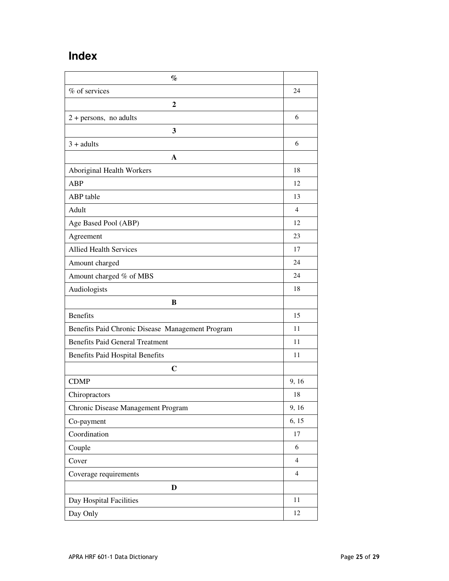### **Index**

| $\%$                                             |                |
|--------------------------------------------------|----------------|
| % of services                                    | 24             |
| $\mathbf{2}$                                     |                |
| $2 + persons$ , no adults                        | 6              |
| 3                                                |                |
| $3 + adults$                                     | 6              |
| A                                                |                |
| Aboriginal Health Workers                        | 18             |
| ABP                                              | 12             |
| ABP table                                        | 13             |
| Adult                                            | $\overline{4}$ |
| Age Based Pool (ABP)                             | 12             |
| Agreement                                        | 23             |
| <b>Allied Health Services</b>                    | 17             |
| Amount charged                                   | 24             |
| Amount charged % of MBS                          | 24             |
| Audiologists                                     | 18             |
| B                                                |                |
| <b>Benefits</b>                                  | 15             |
| Benefits Paid Chronic Disease Management Program | 11             |
| <b>Benefits Paid General Treatment</b>           | 11             |
| <b>Benefits Paid Hospital Benefits</b>           | 11             |
| $\mathbf C$                                      |                |
| <b>CDMP</b>                                      | 9, 16          |
| Chiropractors                                    | 18             |
| Chronic Disease Management Program               | 9, 16          |
| Co-payment                                       | 6, 15          |
| Coordination                                     | 17             |
| Couple                                           | 6              |
| Cover                                            | $\overline{4}$ |
| Coverage requirements                            | $\overline{4}$ |
| $\mathbf D$                                      |                |
| Day Hospital Facilities                          | 11             |
| Day Only                                         | 12             |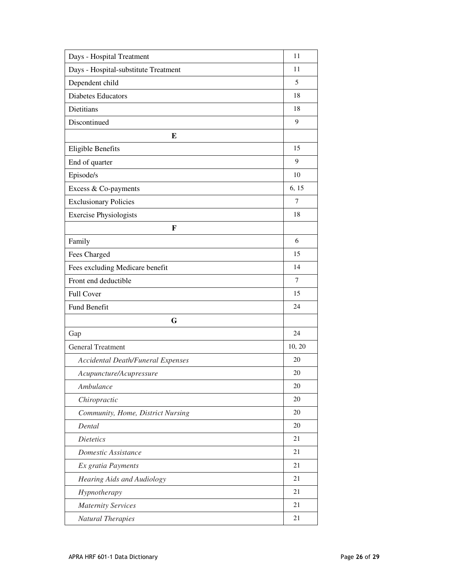| Days - Hospital Treatment                | 11     |
|------------------------------------------|--------|
| Days - Hospital-substitute Treatment     | 11     |
| Dependent child                          | 5      |
| <b>Diabetes Educators</b>                | 18     |
| Dietitians                               | 18     |
| Discontinued                             | 9      |
| E                                        |        |
| <b>Eligible Benefits</b>                 | 15     |
| End of quarter                           | 9      |
| Episode/s                                | 10     |
| Excess & Co-payments                     | 6, 15  |
| <b>Exclusionary Policies</b>             | 7      |
| <b>Exercise Physiologists</b>            | 18     |
| F                                        |        |
| Family                                   | 6      |
| Fees Charged                             | 15     |
| Fees excluding Medicare benefit          | 14     |
| Front end deductible                     | 7      |
| Full Cover                               | 15     |
| Fund Benefit                             | 24     |
| G                                        |        |
| Gap                                      | 24     |
| <b>General Treatment</b>                 | 10, 20 |
| <b>Accidental Death/Funeral Expenses</b> | 20     |
| Acupuncture/Acupressure                  | 20     |
| Ambulance                                | 20     |
| Chiropractic                             | 20     |
| Community, Home, District Nursing        | 20     |
| Dental                                   | 20     |
| <b>Dietetics</b>                         | 21     |
| Domestic Assistance                      | 21     |
| Ex gratia Payments                       | 21     |
| Hearing Aids and Audiology               | 21     |
| Hypnotherapy                             | 21     |
| <b>Maternity Services</b>                | 21     |
| <b>Natural Therapies</b>                 | 21     |
|                                          |        |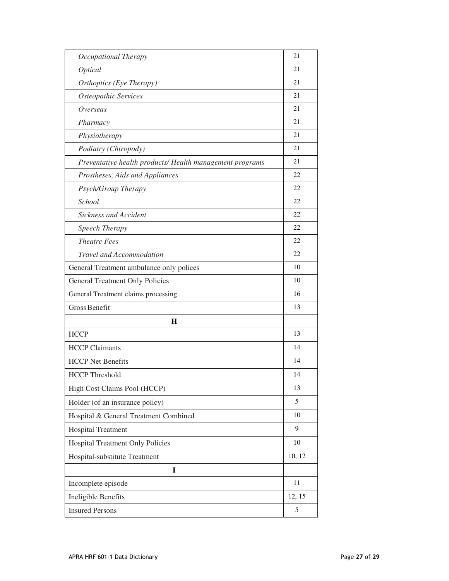| Occupational Therapy                                     | 21     |
|----------------------------------------------------------|--------|
| Optical                                                  | 21     |
| Orthoptics (Eye Therapy)                                 | 21     |
| Osteopathic Services                                     | 21     |
| Overseas                                                 | 21     |
| Pharmacy                                                 | 21     |
| Physiotherapy                                            | 21     |
| Podiatry (Chiropody)                                     | 21     |
| Preventative health products/ Health management programs | 21     |
| Prostheses, Aids and Appliances                          | 22     |
| Psych/Group Therapy                                      | 22     |
| School                                                   | 22     |
| Sickness and Accident                                    | 22     |
| Speech Therapy                                           | 22     |
| <b>Theatre Fees</b>                                      | 22     |
| Travel and Accommodation                                 | 22     |
| General Treatment ambulance only polices                 | 10     |
| <b>General Treatment Only Policies</b>                   | 10     |
| General Treatment claims processing                      | 16     |
| <b>Gross Benefit</b>                                     | 13     |
| $\bf H$                                                  |        |
| <b>HCCP</b>                                              | 13     |
| <b>HCCP Claimants</b>                                    | 14     |
| <b>HCCP</b> Net Benefits                                 | 14     |
| <b>HCCP</b> Threshold                                    | 14     |
| High Cost Claims Pool (HCCP)                             | 13     |
| Holder (of an insurance policy)                          | 5      |
| Hospital & General Treatment Combined                    | 10     |
| <b>Hospital Treatment</b>                                | 9      |
| Hospital Treatment Only Policies                         | 10     |
| Hospital-substitute Treatment                            | 10, 12 |
| I                                                        |        |
| Incomplete episode                                       | 11     |
| Ineligible Benefits                                      | 12, 15 |
| <b>Insured Persons</b>                                   | 5      |
|                                                          |        |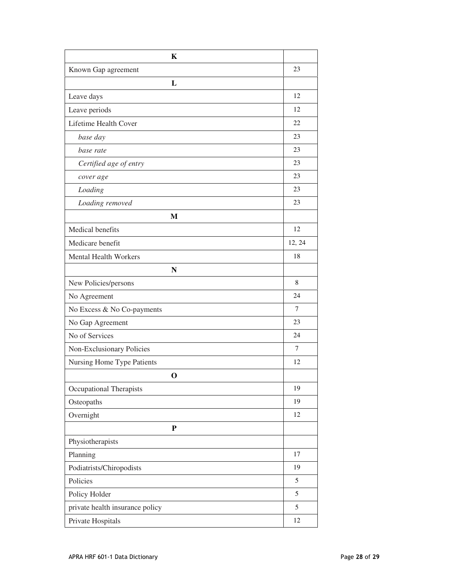| K                               |        |
|---------------------------------|--------|
| Known Gap agreement             | 23     |
| L                               |        |
| Leave days                      | 12     |
| Leave periods                   | 12     |
| Lifetime Health Cover           | 22     |
| base day                        | 23     |
| base rate                       | 23     |
| Certified age of entry          | 23     |
| cover age                       | 23     |
| Loading                         | 23     |
| Loading removed                 | 23     |
| M                               |        |
| Medical benefits                | 12     |
| Medicare benefit                | 12, 24 |
| <b>Mental Health Workers</b>    | 18     |
| N                               |        |
| New Policies/persons            | 8      |
| No Agreement                    | 24     |
| No Excess & No Co-payments      | 7      |
| No Gap Agreement                | 23     |
| No of Services                  | 24     |
| Non-Exclusionary Policies       | 7      |
| Nursing Home Type Patients      | 12     |
| $\Omega$                        |        |
| <b>Occupational Therapists</b>  | 19     |
| Osteopaths                      | 19     |
| Overnight                       | 12     |
| ${\bf P}$                       |        |
| Physiotherapists                |        |
| Planning                        | 17     |
| Podiatrists/Chiropodists        | 19     |
| Policies                        | 5      |
| Policy Holder                   | 5      |
| private health insurance policy | 5      |
| Private Hospitals               | 12     |